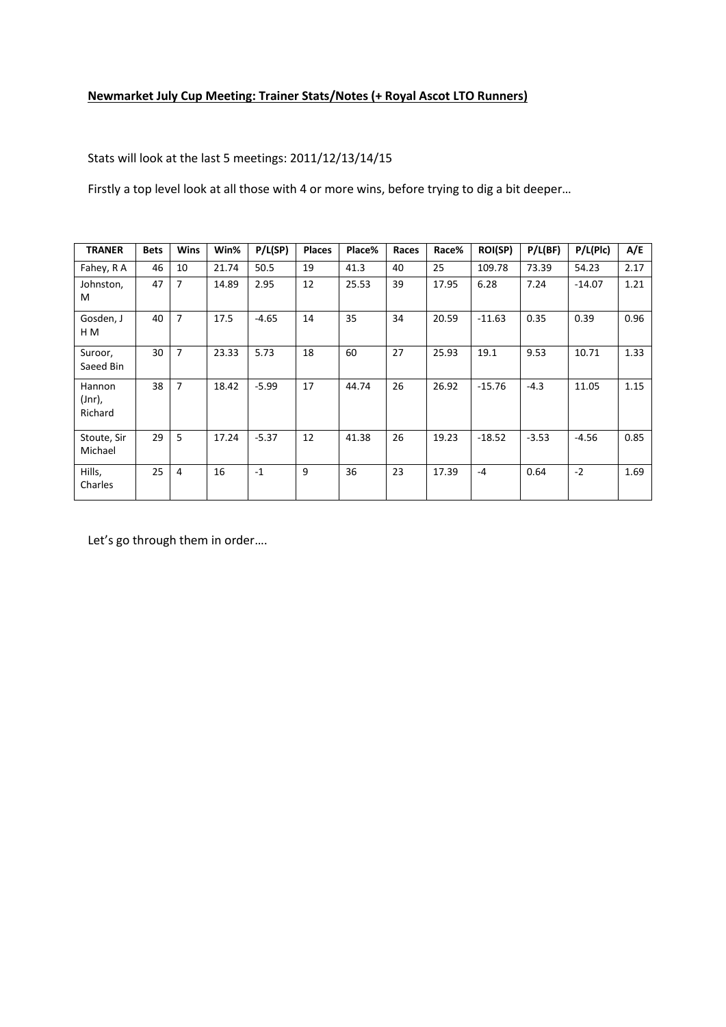# **Newmarket July Cup Meeting: Trainer Stats/Notes (+ Royal Ascot LTO Runners)**

Stats will look at the last 5 meetings: 2011/12/13/14/15

Firstly a top level look at all those with 4 or more wins, before trying to dig a bit deeper…

| <b>TRANER</b>               | <b>Bets</b> | <b>Wins</b>    | Win%  | P/L(SP) | <b>Places</b> | Place% | Races | Race% | <b>ROI(SP)</b> | P/L(BF) | P/L(Plc) | A/E  |
|-----------------------------|-------------|----------------|-------|---------|---------------|--------|-------|-------|----------------|---------|----------|------|
| Fahey, R A                  | 46          | 10             | 21.74 | 50.5    | 19            | 41.3   | 40    | 25    | 109.78         | 73.39   | 54.23    | 2.17 |
| Johnston,<br>M              | 47          | 7              | 14.89 | 2.95    | 12            | 25.53  | 39    | 17.95 | 6.28           | 7.24    | $-14.07$ | 1.21 |
| Gosden, J<br>H M            | 40          | 7              | 17.5  | $-4.65$ | 14            | 35     | 34    | 20.59 | $-11.63$       | 0.35    | 0.39     | 0.96 |
| Suroor,<br>Saeed Bin        | 30          | $\overline{7}$ | 23.33 | 5.73    | 18            | 60     | 27    | 25.93 | 19.1           | 9.53    | 10.71    | 1.33 |
| Hannon<br>(Jnr),<br>Richard | 38          | 7              | 18.42 | $-5.99$ | 17            | 44.74  | 26    | 26.92 | $-15.76$       | $-4.3$  | 11.05    | 1.15 |
| Stoute, Sir<br>Michael      | 29          | 5              | 17.24 | $-5.37$ | 12            | 41.38  | 26    | 19.23 | $-18.52$       | $-3.53$ | $-4.56$  | 0.85 |
| Hills,<br>Charles           | 25          | 4              | 16    | $-1$    | 9             | 36     | 23    | 17.39 | $-4$           | 0.64    | $-2$     | 1.69 |

Let's go through them in order….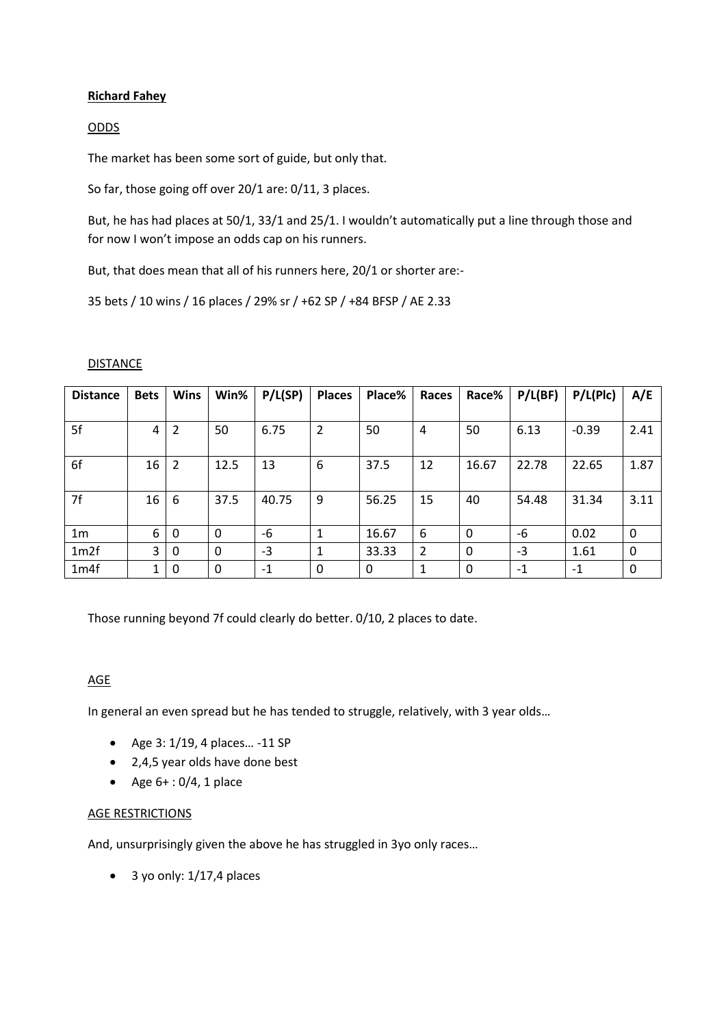# **Richard Fahey**

# ODDS

The market has been some sort of guide, but only that.

So far, those going off over 20/1 are: 0/11, 3 places.

But, he has had places at 50/1, 33/1 and 25/1. I wouldn't automatically put a line through those and for now I won't impose an odds cap on his runners.

But, that does mean that all of his runners here, 20/1 or shorter are:-

35 bets / 10 wins / 16 places / 29% sr / +62 SP / +84 BFSP / AE 2.33

### DISTANCE

| <b>Distance</b> | <b>Bets</b> | <b>Wins</b>    | Win% | P/L(SP) | <b>Places</b>  | Place% | Races | Race%        | P/L(BF) | P/L(Plc) | A/E  |
|-----------------|-------------|----------------|------|---------|----------------|--------|-------|--------------|---------|----------|------|
|                 |             |                |      |         |                |        |       |              |         |          |      |
| 5f              | 4           | $\overline{2}$ | 50   | 6.75    | $\overline{2}$ | 50     | 4     | 50           | 6.13    | $-0.39$  | 2.41 |
|                 |             |                |      |         |                |        |       |              |         |          |      |
| 6f              | 16          | 2              | 12.5 | 13      | 6              | 37.5   | 12    | 16.67        | 22.78   | 22.65    | 1.87 |
|                 |             |                |      |         |                |        |       |              |         |          |      |
| 7f              | 16          | 6              | 37.5 | 40.75   | 9              | 56.25  | 15    | 40           | 54.48   | 31.34    | 3.11 |
|                 |             |                |      |         |                |        |       |              |         |          |      |
| 1 <sub>m</sub>  | 6           | 0              | 0    | -6      | 1              | 16.67  | 6     | $\mathbf{0}$ | -6      | 0.02     | 0    |
| 1m2f            | 3           | 0              | 0    | $-3$    | 1              | 33.33  | 2     | $\mathbf{0}$ | $-3$    | 1.61     | 0    |
| 1m4f            | 1           | 0              | 0    | -1      | 0              | 0      |       | $\mathbf{0}$ | -1      | $-1$     | 0    |

Those running beyond 7f could clearly do better. 0/10, 2 places to date.

### AGE

In general an even spread but he has tended to struggle, relatively, with 3 year olds…

- $\bullet$  Age 3: 1/19, 4 places... -11 SP
- 2,4,5 year olds have done best
- Age  $6+ : 0/4$ , 1 place

### AGE RESTRICTIONS

And, unsurprisingly given the above he has struggled in 3yo only races…

 $\bullet$  3 yo only: 1/17,4 places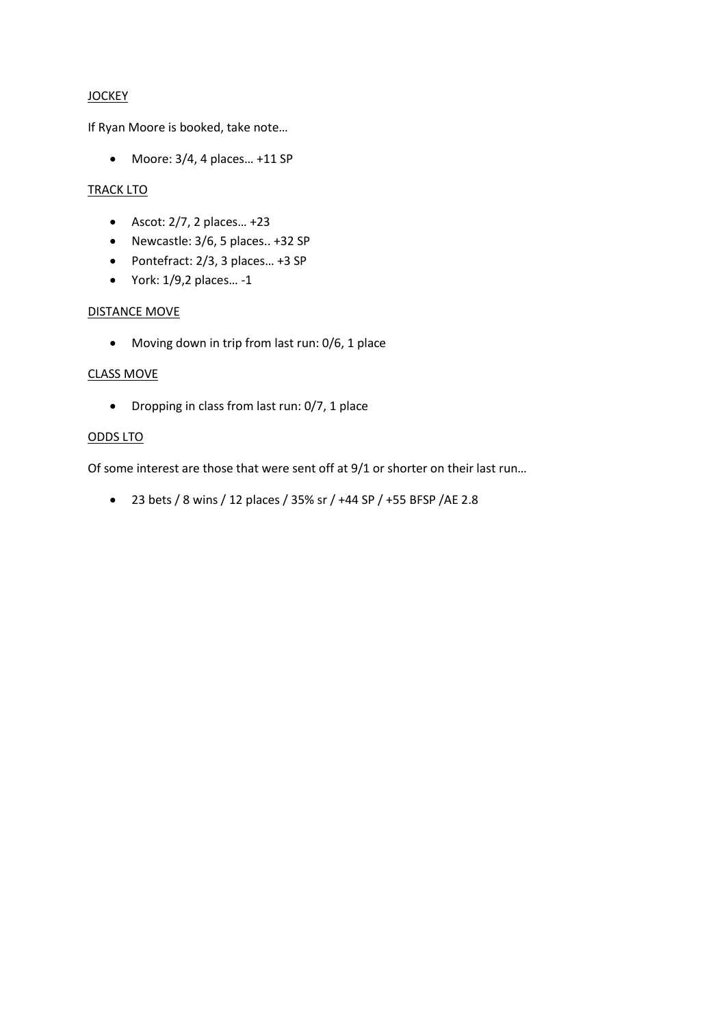# **JOCKEY**

If Ryan Moore is booked, take note…

 $\bullet$  Moore: 3/4, 4 places... +11 SP

### **TRACK LTO**

- $\bullet$  Ascot: 2/7, 2 places... +23
- Newcastle: 3/6, 5 places.. +32 SP
- $\bullet$  Pontefract: 2/3, 3 places... +3 SP
- York: 1/9,2 places… -1

# DISTANCE MOVE

Moving down in trip from last run: 0/6, 1 place

### CLASS MOVE

• Dropping in class from last run: 0/7, 1 place

### ODDS LTO

Of some interest are those that were sent off at 9/1 or shorter on their last run…

23 bets / 8 wins / 12 places / 35% sr / +44 SP / +55 BFSP /AE 2.8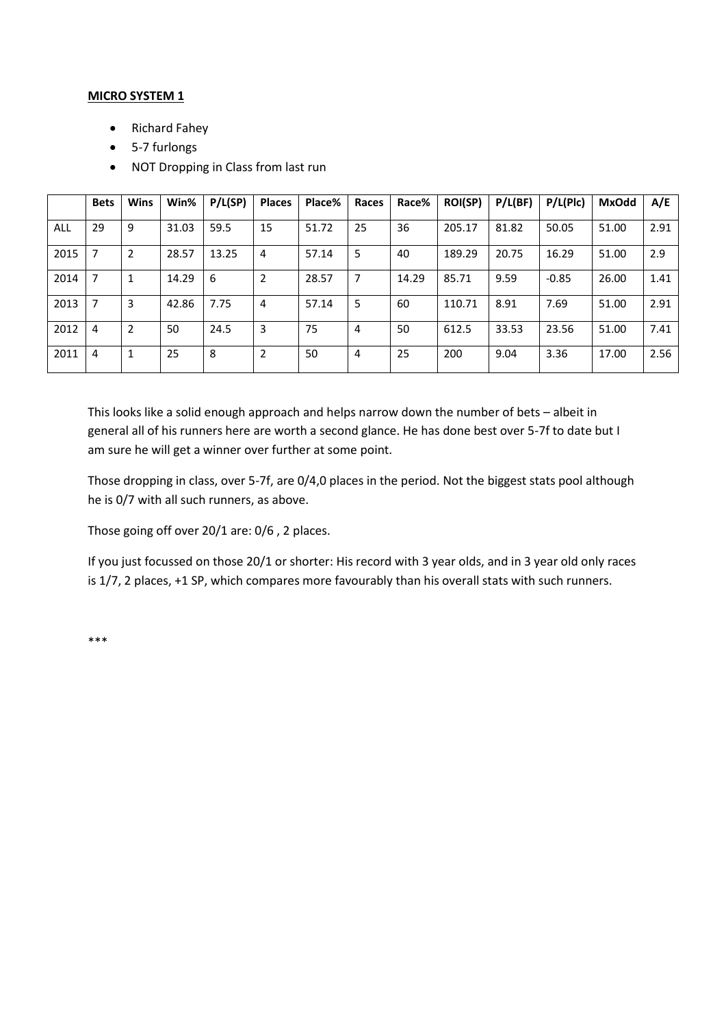### **MICRO SYSTEM 1**

- Richard Fahey
- 5-7 furlongs
- NOT Dropping in Class from last run

|      | <b>Bets</b> | <b>Wins</b>    | Win%  | P/L(SP) | <b>Places</b>  | Place% | Races | Race% | <b>ROI(SP)</b> | P/L(BF) | P/L(Plc) | <b>MxOdd</b> | A/E  |
|------|-------------|----------------|-------|---------|----------------|--------|-------|-------|----------------|---------|----------|--------------|------|
| ALL  | 29          | 9              | 31.03 | 59.5    | 15             | 51.72  | 25    | 36    | 205.17         | 81.82   | 50.05    | 51.00        | 2.91 |
| 2015 | 7           | $\overline{2}$ | 28.57 | 13.25   | $\overline{4}$ | 57.14  | 5     | 40    | 189.29         | 20.75   | 16.29    | 51.00        | 2.9  |
| 2014 | 7           | 1              | 14.29 | 6       | $\overline{2}$ | 28.57  | 7     | 14.29 | 85.71          | 9.59    | $-0.85$  | 26.00        | 1.41 |
| 2013 | 7           | 3              | 42.86 | 7.75    | $\overline{4}$ | 57.14  | 5     | 60    | 110.71         | 8.91    | 7.69     | 51.00        | 2.91 |
| 2012 | 4           | 2              | 50    | 24.5    | 3              | 75     | 4     | 50    | 612.5          | 33.53   | 23.56    | 51.00        | 7.41 |
| 2011 | 4           | 1              | 25    | 8       | $\overline{2}$ | 50     | 4     | 25    | 200            | 9.04    | 3.36     | 17.00        | 2.56 |

This looks like a solid enough approach and helps narrow down the number of bets – albeit in general all of his runners here are worth a second glance. He has done best over 5-7f to date but I am sure he will get a winner over further at some point.

Those dropping in class, over 5-7f, are 0/4,0 places in the period. Not the biggest stats pool although he is 0/7 with all such runners, as above.

Those going off over 20/1 are: 0/6 , 2 places.

If you just focussed on those 20/1 or shorter: His record with 3 year olds, and in 3 year old only races is 1/7, 2 places, +1 SP, which compares more favourably than his overall stats with such runners.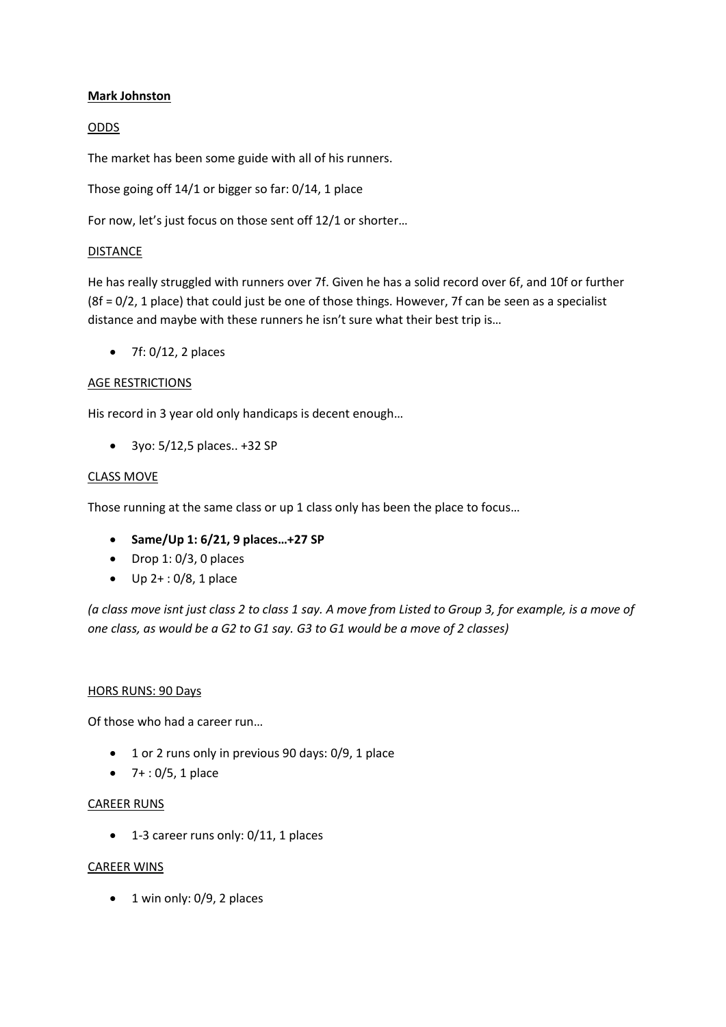# **Mark Johnston**

# ODDS

The market has been some guide with all of his runners.

Those going off 14/1 or bigger so far: 0/14, 1 place

For now, let's just focus on those sent off 12/1 or shorter…

### DISTANCE

He has really struggled with runners over 7f. Given he has a solid record over 6f, and 10f or further (8f = 0/2, 1 place) that could just be one of those things. However, 7f can be seen as a specialist distance and maybe with these runners he isn't sure what their best trip is…

 $\bullet$  7f: 0/12, 2 places

### AGE RESTRICTIONS

His record in 3 year old only handicaps is decent enough…

3yo: 5/12,5 places.. +32 SP

### CLASS MOVE

Those running at the same class or up 1 class only has been the place to focus…

- **Same/Up 1: 6/21, 9 places…+27 SP**
- $\bullet$  Drop 1: 0/3, 0 places
- $\bullet$  Up 2+: 0/8, 1 place

*(a class move isnt just class 2 to class 1 say. A move from Listed to Group 3, for example, is a move of one class, as would be a G2 to G1 say. G3 to G1 would be a move of 2 classes)* 

### HORS RUNS: 90 Days

Of those who had a career run…

- 1 or 2 runs only in previous 90 days: 0/9, 1 place
- $-7 + 0/5$ , 1 place

### CAREER RUNS

• 1-3 career runs only: 0/11, 1 places

# CAREER WINS

• 1 win only: 0/9, 2 places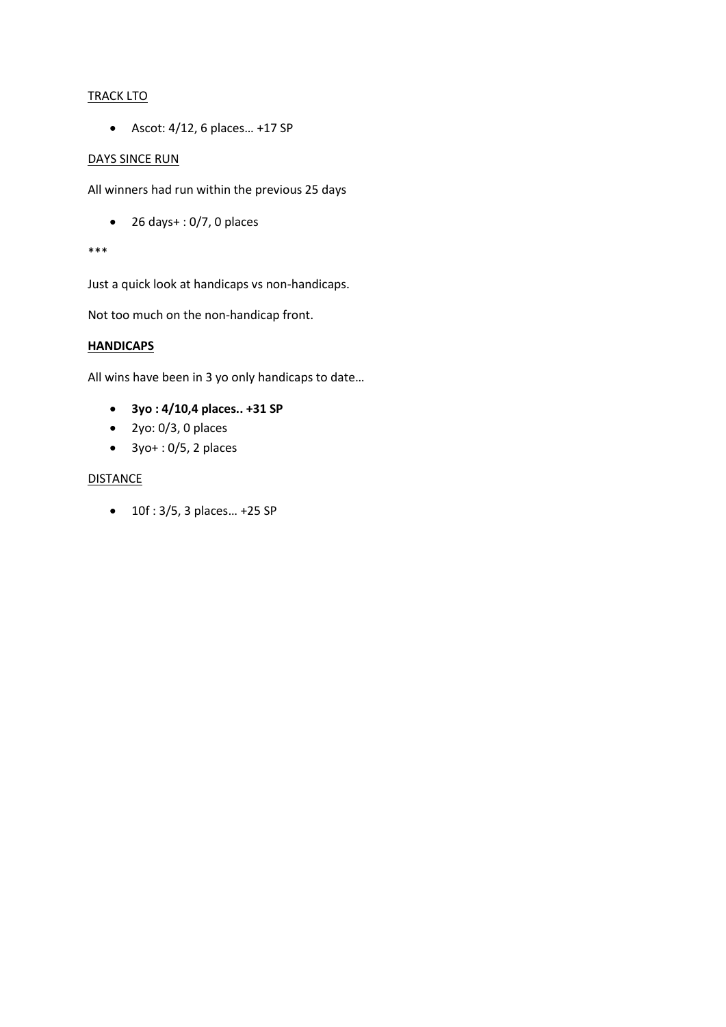# **TRACK LTO**

 $\bullet$  Ascot: 4/12, 6 places... +17 SP

### DAYS SINCE RUN

All winners had run within the previous 25 days

 $\bullet$  26 days $+$ : 0/7, 0 places

#### \*\*\*

Just a quick look at handicaps vs non-handicaps.

Not too much on the non-handicap front.

### **HANDICAPS**

All wins have been in 3 yo only handicaps to date…

- **3yo : 4/10,4 places.. +31 SP**
- $\bullet$  2yo: 0/3, 0 places
- $\bullet$  3yo + : 0/5, 2 places

# **DISTANCE**

• 10f : 3/5, 3 places... +25 SP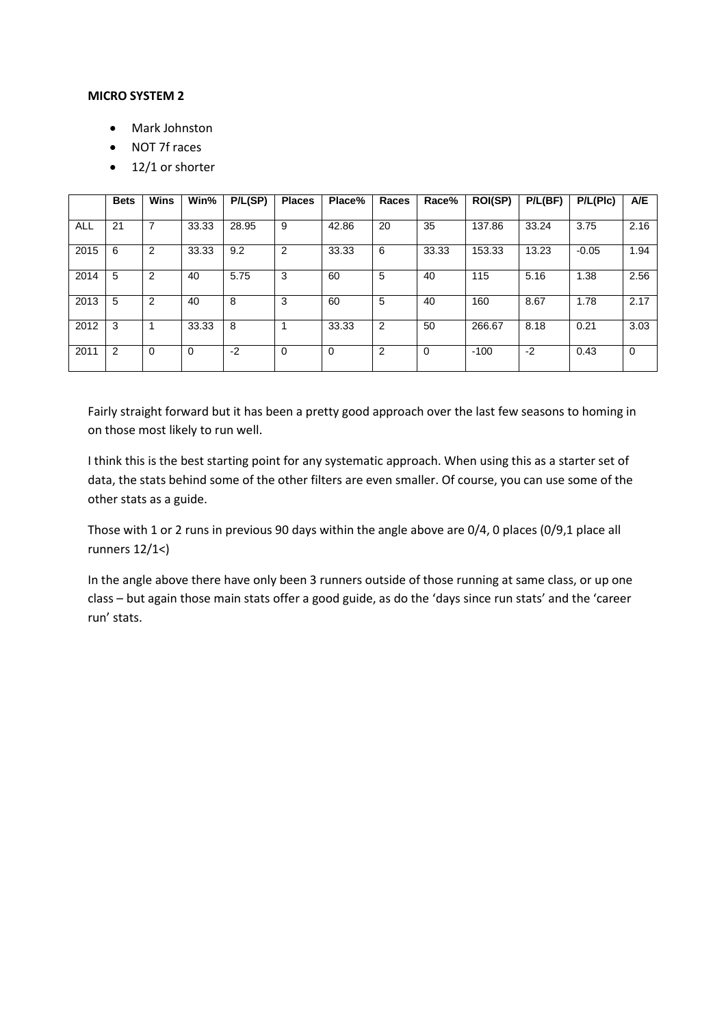#### **MICRO SYSTEM 2**

- Mark Johnston
- NOT 7f races
- $\bullet$  12/1 or shorter

|      | <b>Bets</b> | <b>Wins</b>    | Win%     | P/L(SP) | <b>Places</b>  | Place%      | Races | Race% | <b>ROI(SP)</b> | P/L(BF) | P/L(Plc) | A/E         |
|------|-------------|----------------|----------|---------|----------------|-------------|-------|-------|----------------|---------|----------|-------------|
| ALL  | 21          | 7              | 33.33    | 28.95   | 9              | 42.86       | 20    | 35    | 137.86         | 33.24   | 3.75     | 2.16        |
| 2015 | 6           | 2              | 33.33    | 9.2     | $\overline{2}$ | 33.33       | 6     | 33.33 | 153.33         | 13.23   | $-0.05$  | 1.94        |
| 2014 | 5           | 2              | 40       | 5.75    | 3              | 60          | 5     | 40    | 115            | 5.16    | 1.38     | 2.56        |
| 2013 | 5           | $\overline{2}$ | 40       | 8       | 3              | 60          | 5     | 40    | 160            | 8.67    | 1.78     | 2.17        |
| 2012 | 3           |                | 33.33    | 8       |                | 33.33       | 2     | 50    | 266.67         | 8.18    | 0.21     | 3.03        |
| 2011 | 2           | 0              | $\Omega$ | $-2$    | 0              | $\mathbf 0$ | 2     | 0     | $-100$         | $-2$    | 0.43     | $\mathbf 0$ |

Fairly straight forward but it has been a pretty good approach over the last few seasons to homing in on those most likely to run well.

I think this is the best starting point for any systematic approach. When using this as a starter set of data, the stats behind some of the other filters are even smaller. Of course, you can use some of the other stats as a guide.

Those with 1 or 2 runs in previous 90 days within the angle above are 0/4, 0 places (0/9,1 place all runners 12/1<)

In the angle above there have only been 3 runners outside of those running at same class, or up one class – but again those main stats offer a good guide, as do the 'days since run stats' and the 'career run' stats.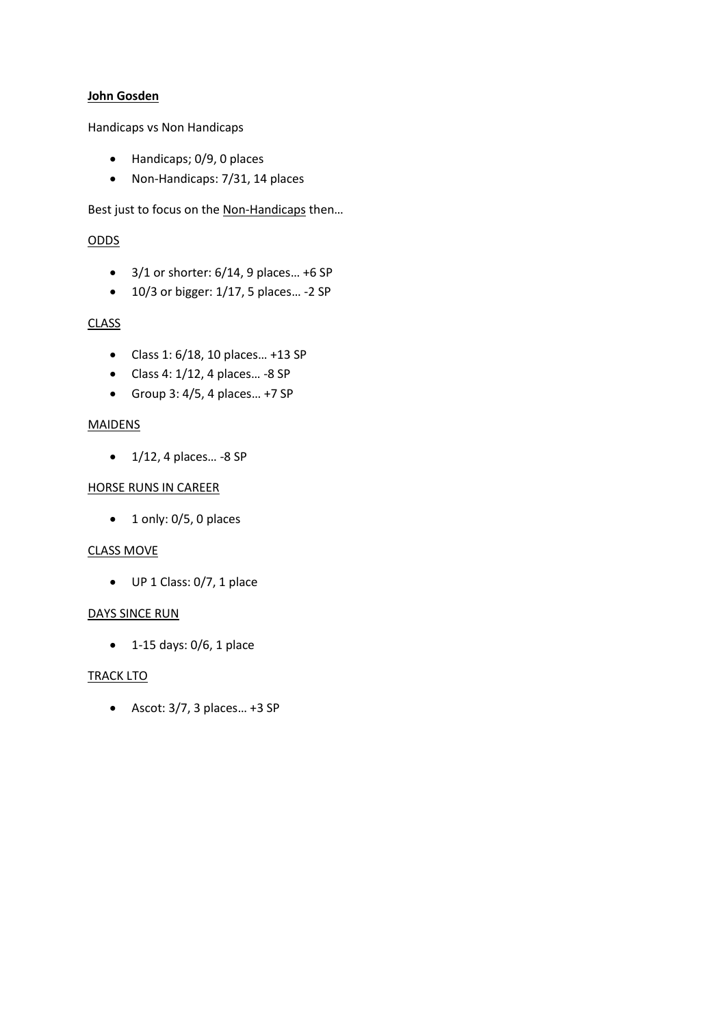### **John Gosden**

Handicaps vs Non Handicaps

- Handicaps; 0/9, 0 places
- Non-Handicaps: 7/31, 14 places

Best just to focus on the Non-Handicaps then…

# ODDS

- $\bullet$  3/1 or shorter: 6/14, 9 places... +6 SP
- $\bullet$  10/3 or bigger: 1/17, 5 places... -2 SP

# **CLASS**

- Class 1: 6/18, 10 places… +13 SP
- $\bullet$  Class 4: 1/12, 4 places... -8 SP
- Group 3:  $4/5$ , 4 places... +7 SP

# MAIDENS

 $\bullet$  1/12, 4 places... -8 SP

### HORSE RUNS IN CAREER

 $\bullet$  1 only: 0/5, 0 places

### CLASS MOVE

UP 1 Class: 0/7, 1 place

# DAYS SINCE RUN

 $\bullet$  1-15 days: 0/6, 1 place

# TRACK LTO

 $\bullet$  Ascot: 3/7, 3 places... +3 SP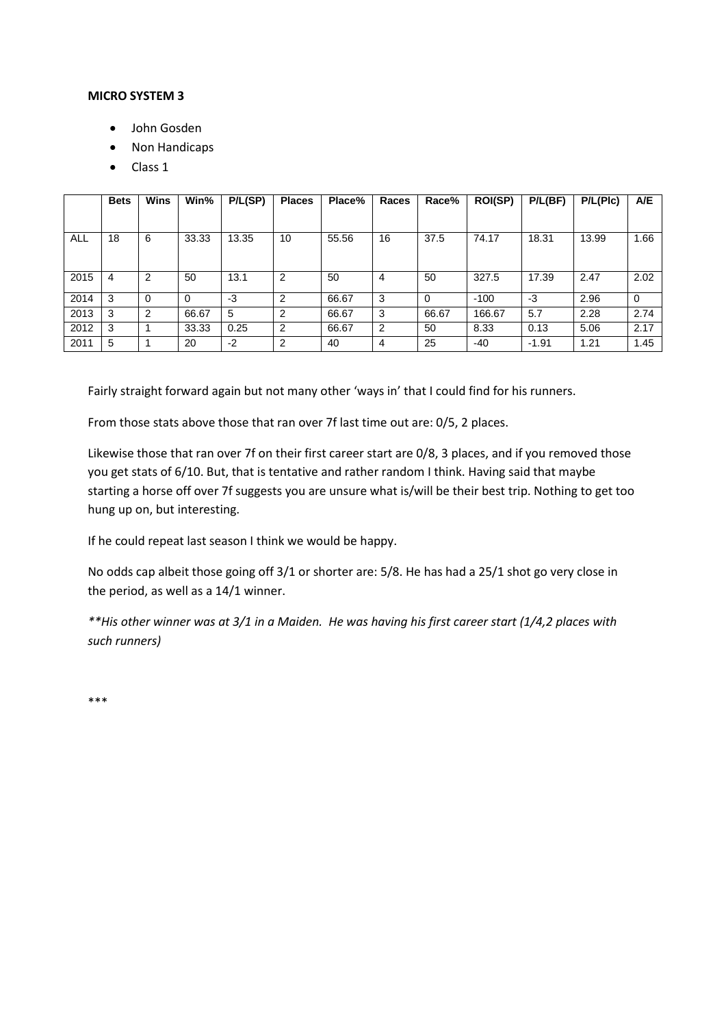#### **MICRO SYSTEM 3**

- John Gosden
- Non Handicaps
- Class 1

|      | <b>Bets</b> | <b>Wins</b> | Win%     | P/L(SP) | <b>Places</b>  | Place% | Races | Race%    | <b>ROI(SP)</b> | P/L(BF) | P/L(Plc) | A/E         |
|------|-------------|-------------|----------|---------|----------------|--------|-------|----------|----------------|---------|----------|-------------|
|      |             |             |          |         |                |        |       |          |                |         |          |             |
| ALL  | 18          | 6           | 33.33    | 13.35   | 10             | 55.56  | 16    | 37.5     | 74.17          | 18.31   | 13.99    | 1.66        |
|      |             |             |          |         |                |        |       |          |                |         |          |             |
| 2015 | 4           | 2           | 50       | 13.1    | 2              | 50     | 4     | 50       | 327.5          | 17.39   | 2.47     | 2.02        |
| 2014 | 3           | 0           | $\Omega$ | -3      | $\overline{2}$ | 66.67  | 3     | $\Omega$ | $-100$         | -3      | 2.96     | $\mathbf 0$ |
| 2013 | 3           | 2           | 66.67    | 5       | $\overline{2}$ | 66.67  | 3     | 66.67    | 166.67         | 5.7     | 2.28     | 2.74        |
| 2012 | 3           |             | 33.33    | 0.25    | 2              | 66.67  | 2     | 50       | 8.33           | 0.13    | 5.06     | 2.17        |
| 2011 | 5           |             | 20       | $-2$    | 2              | 40     | 4     | 25       | $-40$          | $-1.91$ | 1.21     | 1.45        |

Fairly straight forward again but not many other 'ways in' that I could find for his runners.

From those stats above those that ran over 7f last time out are: 0/5, 2 places.

Likewise those that ran over 7f on their first career start are 0/8, 3 places, and if you removed those you get stats of 6/10. But, that is tentative and rather random I think. Having said that maybe starting a horse off over 7f suggests you are unsure what is/will be their best trip. Nothing to get too hung up on, but interesting.

If he could repeat last season I think we would be happy.

No odds cap albeit those going off 3/1 or shorter are: 5/8. He has had a 25/1 shot go very close in the period, as well as a 14/1 winner.

*\*\*His other winner was at 3/1 in a Maiden. He was having his first career start (1/4,2 places with such runners)*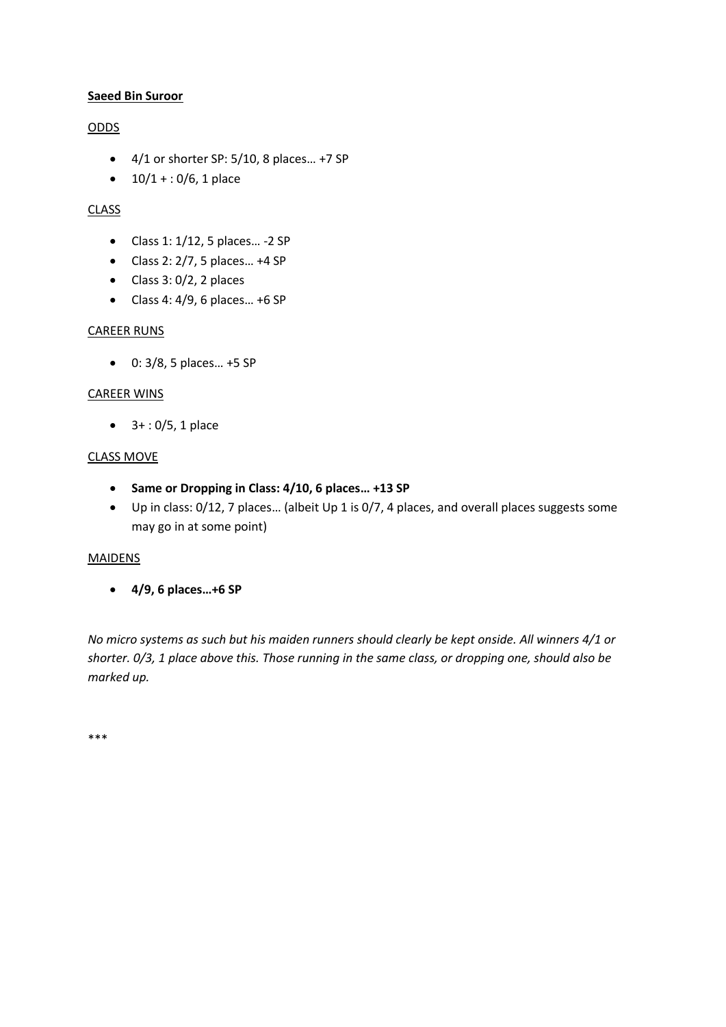# **Saeed Bin Suroor**

# ODDS

- $\bullet$  4/1 or shorter SP: 5/10, 8 places... +7 SP
- $\bullet$  10/1 + : 0/6, 1 place

# CLASS

- $\bullet$  Class 1: 1/12, 5 places... -2 SP
- $\bullet$  Class 2: 2/7, 5 places... +4 SP
- $\bullet$  Class 3: 0/2, 2 places
- $\bullet$  Class 4: 4/9, 6 places... +6 SP

# CAREER RUNS

0: 3/8, 5 places… +5 SP

# CAREER WINS

 $-3 + 0/5$ , 1 place

# CLASS MOVE

- **Same or Dropping in Class: 4/10, 6 places… +13 SP**
- Up in class: 0/12, 7 places… (albeit Up 1 is 0/7, 4 places, and overall places suggests some may go in at some point)

### MAIDENS

**4/9, 6 places…+6 SP** 

*No micro systems as such but his maiden runners should clearly be kept onside. All winners 4/1 or shorter. 0/3, 1 place above this. Those running in the same class, or dropping one, should also be marked up.*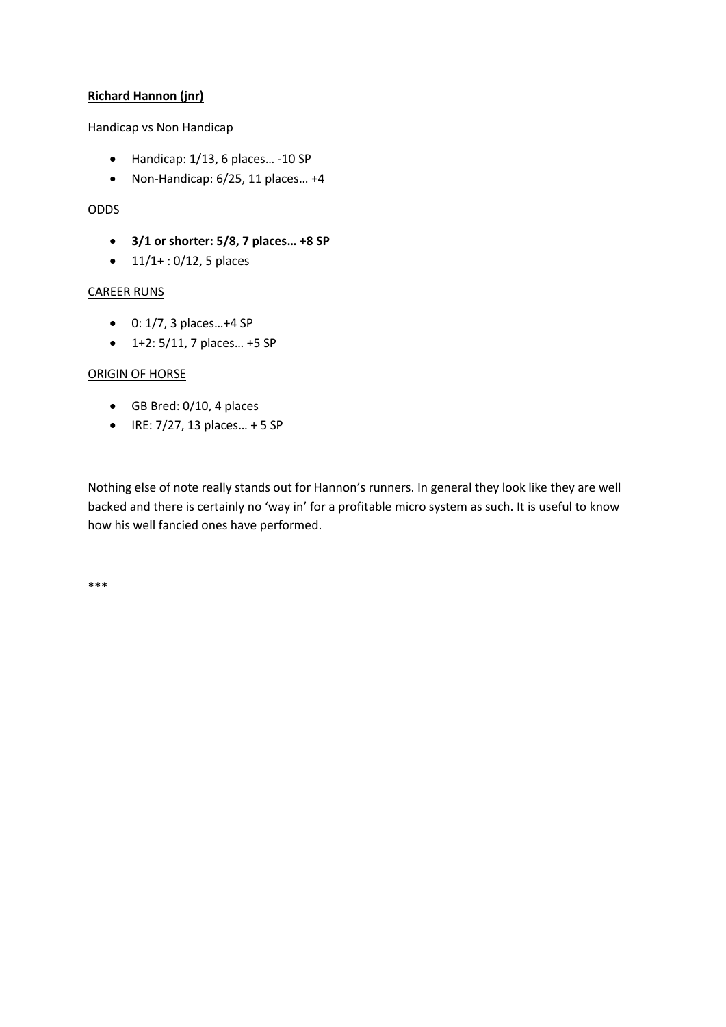# **Richard Hannon (jnr)**

### Handicap vs Non Handicap

- $\bullet$  Handicap: 1/13, 6 places... -10 SP
- $\bullet$  Non-Handicap: 6/25, 11 places... +4

# ODDS

- **3/1 or shorter: 5/8, 7 places… +8 SP**
- $\bullet$  11/1+ : 0/12, 5 places

# CAREER RUNS

- 0: 1/7, 3 places…+4 SP
- 1+2: 5/11, 7 places… +5 SP

# ORIGIN OF HORSE

- GB Bred: 0/10, 4 places
- $\bullet$  IRE: 7/27, 13 places... + 5 SP

Nothing else of note really stands out for Hannon's runners. In general they look like they are well backed and there is certainly no 'way in' for a profitable micro system as such. It is useful to know how his well fancied ones have performed.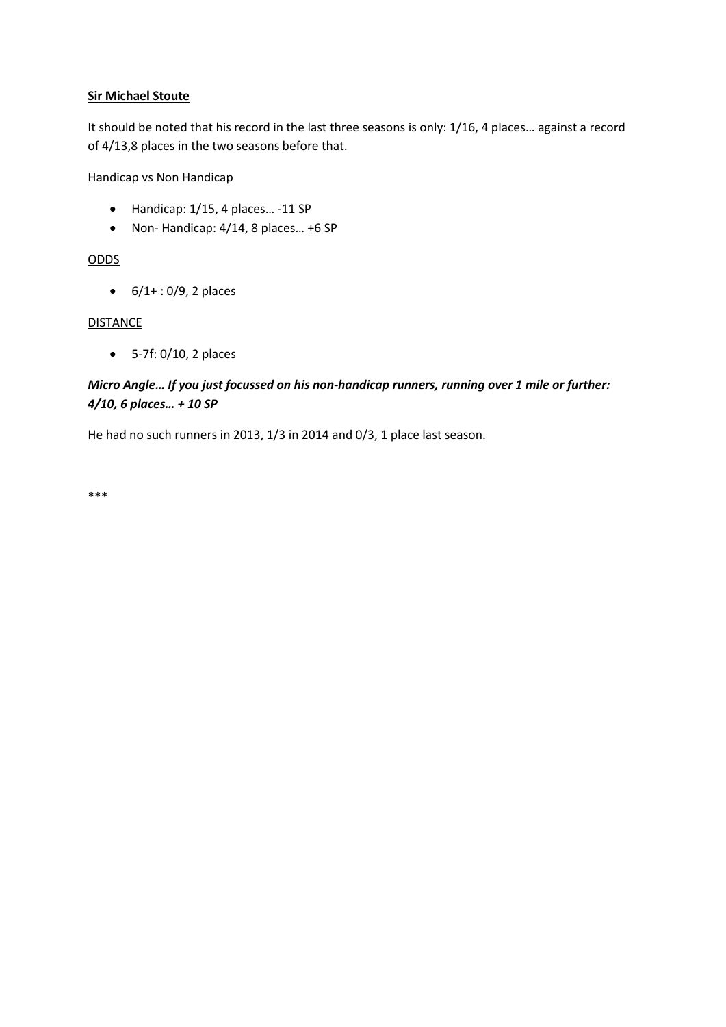# **Sir Michael Stoute**

It should be noted that his record in the last three seasons is only: 1/16, 4 places… against a record of 4/13,8 places in the two seasons before that.

Handicap vs Non Handicap

- $\bullet$  Handicap: 1/15, 4 places... -11 SP
- Non- Handicap: 4/14, 8 places… +6 SP

# ODDS

 $6/1+ 0.09$ , 2 places

# **DISTANCE**

5-7f: 0/10, 2 places

# *Micro Angle… If you just focussed on his non-handicap runners, running over 1 mile or further: 4/10, 6 places… + 10 SP*

He had no such runners in 2013, 1/3 in 2014 and 0/3, 1 place last season.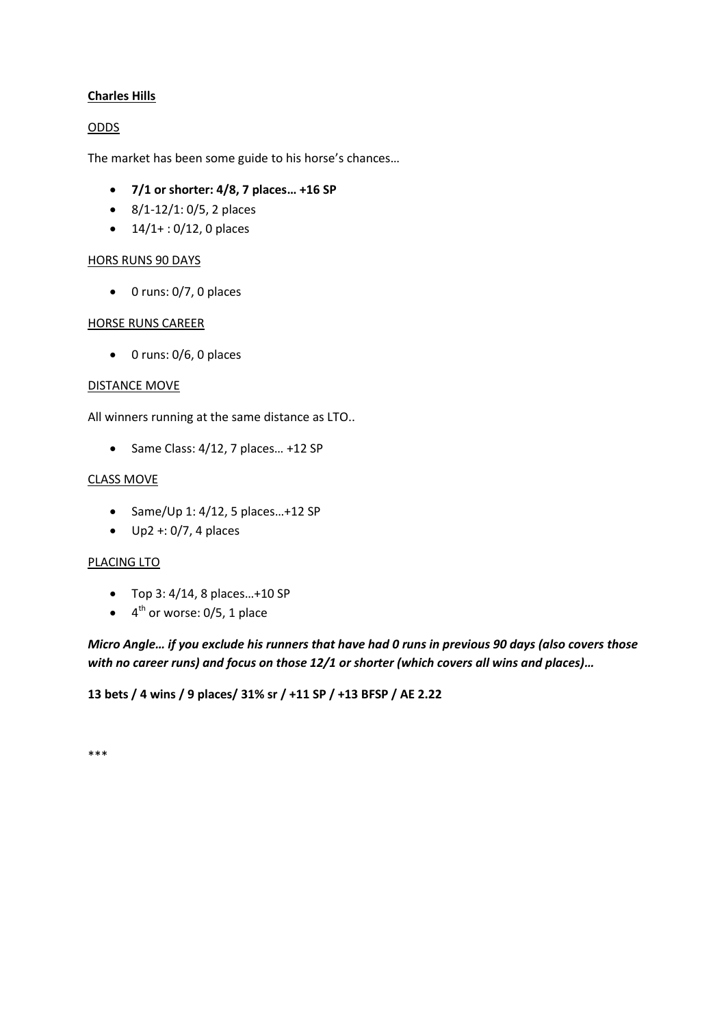# **Charles Hills**

# ODDS

The market has been some guide to his horse's chances…

- **7/1 or shorter: 4/8, 7 places… +16 SP**
- $\bullet$  8/1-12/1: 0/5, 2 places
- $\bullet$  14/1+: 0/12, 0 places

### HORS RUNS 90 DAYS

 $\bullet$  0 runs: 0/7, 0 places

### HORSE RUNS CAREER

 $\bullet$  0 runs: 0/6, 0 places

#### DISTANCE MOVE

All winners running at the same distance as LTO..

 $\bullet$  Same Class: 4/12, 7 places... +12 SP

### CLASS MOVE

- $\bullet$  Same/Up 1: 4/12, 5 places...+12 SP
- $\bullet$  Up2 +: 0/7, 4 places

### PLACING LTO

- Top 3: 4/14, 8 places…+10 SP
- $\bullet$  4<sup>th</sup> or worse: 0/5, 1 place

*Micro Angle… if you exclude his runners that have had 0 runs in previous 90 days (also covers those with no career runs) and focus on those 12/1 or shorter (which covers all wins and places)…*

### **13 bets / 4 wins / 9 places/ 31% sr / +11 SP / +13 BFSP / AE 2.22**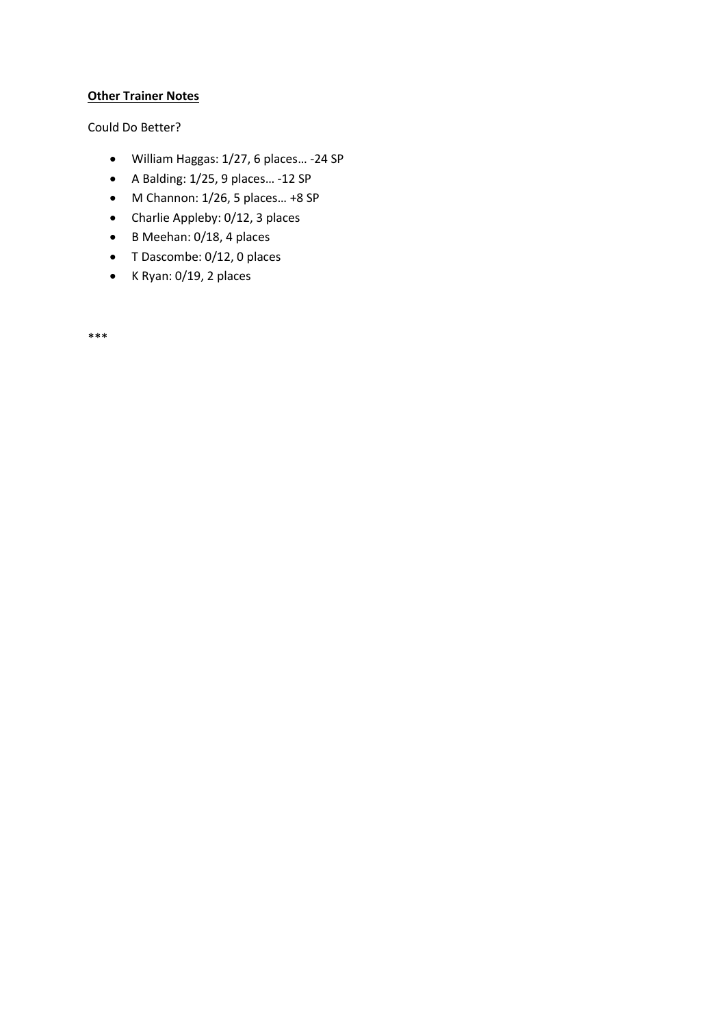# **Other Trainer Notes**

Could Do Better?

- William Haggas: 1/27, 6 places… -24 SP
- A Balding: 1/25, 9 places… -12 SP
- $\bullet$  M Channon: 1/26, 5 places... +8 SP
- Charlie Appleby: 0/12, 3 places
- B Meehan: 0/18, 4 places
- T Dascombe: 0/12, 0 places
- $\bullet$  K Ryan: 0/19, 2 places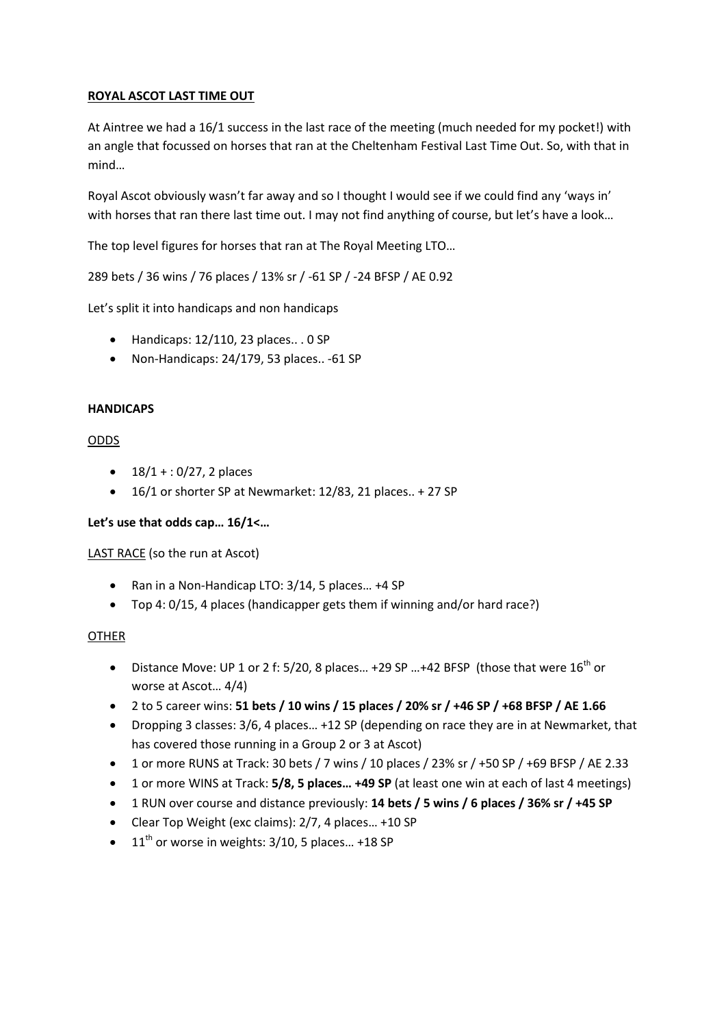# **ROYAL ASCOT LAST TIME OUT**

At Aintree we had a 16/1 success in the last race of the meeting (much needed for my pocket!) with an angle that focussed on horses that ran at the Cheltenham Festival Last Time Out. So, with that in mind…

Royal Ascot obviously wasn't far away and so I thought I would see if we could find any 'ways in' with horses that ran there last time out. I may not find anything of course, but let's have a look...

The top level figures for horses that ran at The Royal Meeting LTO…

289 bets / 36 wins / 76 places / 13% sr / -61 SP / -24 BFSP / AE 0.92

Let's split it into handicaps and non handicaps

- $\bullet$  Handicaps: 12/110, 23 places... 0 SP
- Non-Handicaps: 24/179, 53 places.. -61 SP

### **HANDICAPS**

### ODDS

- $\bullet$  18/1 + : 0/27, 2 places
- 16/1 or shorter SP at Newmarket: 12/83, 21 places.. + 27 SP

### **Let's use that odds cap… 16/1<…**

LAST RACE (so the run at Ascot)

- Ran in a Non-Handicap LTO: 3/14, 5 places… +4 SP
- Top 4: 0/15, 4 places (handicapper gets them if winning and/or hard race?)

### OTHER

- Distance Move: UP 1 or 2 f: 5/20, 8 places... +29 SP ... +42 BFSP (those that were  $16^{th}$  or worse at Ascot… 4/4)
- 2 to 5 career wins: **51 bets / 10 wins / 15 places / 20% sr / +46 SP / +68 BFSP / AE 1.66**
- Dropping 3 classes: 3/6, 4 places… +12 SP (depending on race they are in at Newmarket, that has covered those running in a Group 2 or 3 at Ascot)
- 1 or more RUNS at Track: 30 bets / 7 wins / 10 places / 23% sr / +50 SP / +69 BFSP / AE 2.33
- 1 or more WINS at Track: **5/8, 5 places… +49 SP** (at least one win at each of last 4 meetings)
- 1 RUN over course and distance previously: **14 bets / 5 wins / 6 places / 36% sr / +45 SP**
- Clear Top Weight (exc claims): 2/7, 4 places… +10 SP
- $\bullet$  11<sup>th</sup> or worse in weights: 3/10, 5 places... +18 SP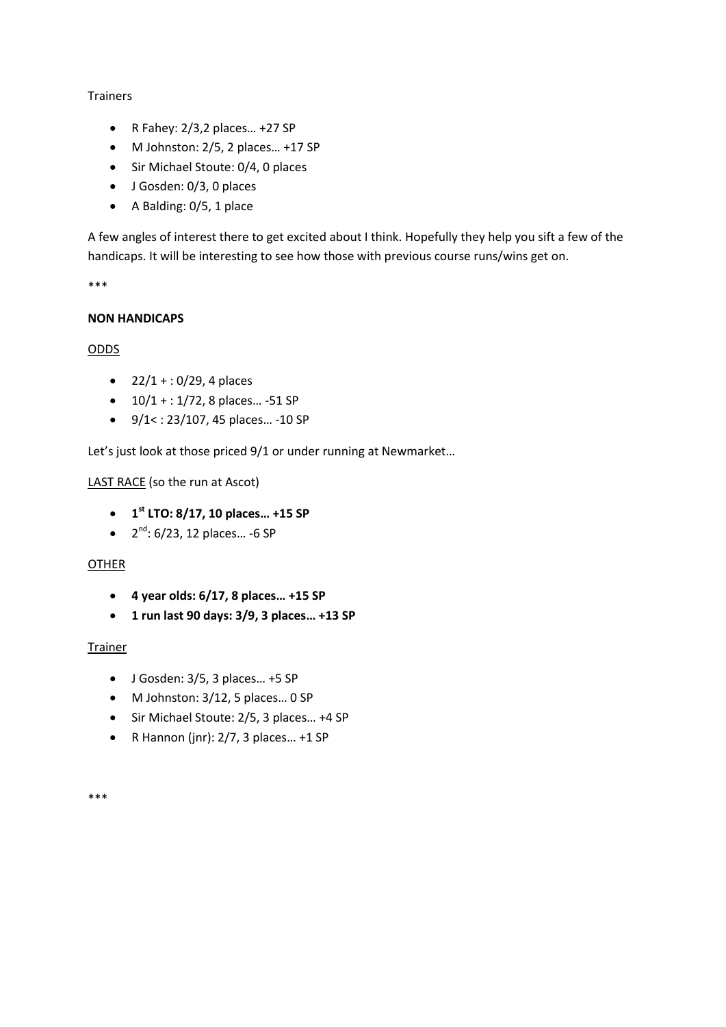# Trainers

- $\bullet$  R Fahey: 2/3,2 places... +27 SP
- M Johnston: 2/5, 2 places… +17 SP
- Sir Michael Stoute: 0/4, 0 places
- J Gosden: 0/3, 0 places
- A Balding: 0/5, 1 place

A few angles of interest there to get excited about I think. Hopefully they help you sift a few of the handicaps. It will be interesting to see how those with previous course runs/wins get on.

\*\*\*

# **NON HANDICAPS**

# ODDS

- $22/1 + 10/29$ , 4 places
- $\bullet$  10/1 + : 1/72, 8 places... -51 SP
- $9/1$  < : 23/107, 45 places... -10 SP

Let's just look at those priced 9/1 or under running at Newmarket…

# LAST RACE (so the run at Ascot)

- **1 st LTO: 8/17, 10 places… +15 SP**
- $\bullet$   $2^{nd}$ : 6/23, 12 places... -6 SP

# OTHER

- **4 year olds: 6/17, 8 places… +15 SP**
- **1 run last 90 days: 3/9, 3 places… +13 SP**

### Trainer

- $\bullet$  J Gosden: 3/5, 3 places... +5 SP
- M Johnston: 3/12, 5 places… 0 SP
- Sir Michael Stoute: 2/5, 3 places… +4 SP
- $\bullet$  R Hannon (jnr): 2/7, 3 places... +1 SP